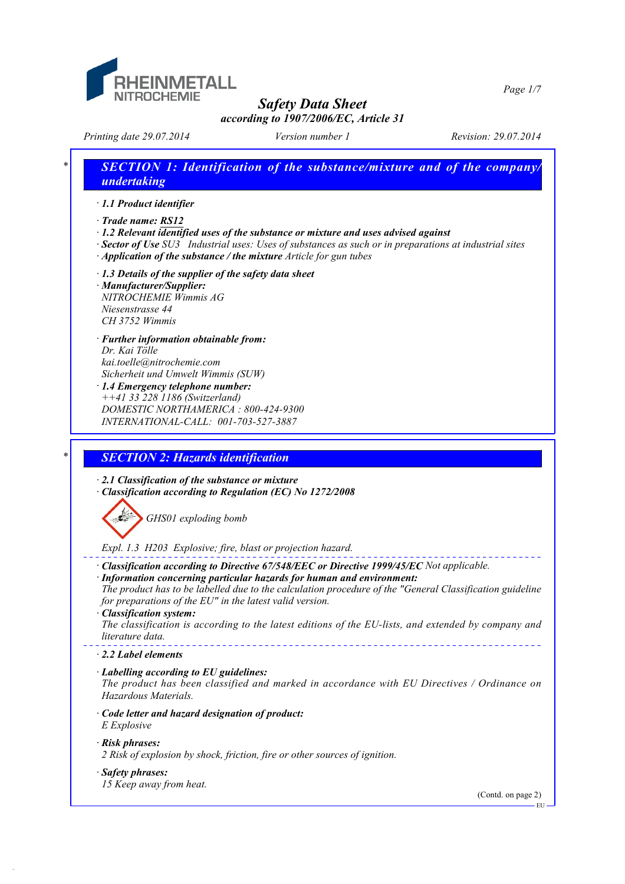

# *Printing date 29.07.2014 Version number 1 Revision: 29.07.2014 \* SECTION 1: Identification of the substance/mixture and of the company/ undertaking · 1.1 Product identifier · Trade name: RS12 · 1.2 Relevant identified uses of the substance or mixture and uses advised against · Sector of Use SU3 Industrial uses: Uses of substances as such or in preparations at industrial sites · Application of the substance / the mixture Article for gun tubes · 1.3 Details of the supplier of the safety data sheet · Manufacturer/Supplier: NITROCHEMIE Wimmis AG Niesenstrasse 44 CH 3752 Wimmis · Further information obtainable from: Dr. Kai Tölle kai.toelle@nitrochemie.com Sicherheit und Umwelt Wimmis (SUW) · 1.4 Emergency telephone number: ++41 33 228 1186 (Switzerland) DOMESTIC NORTHAMERICA : 800-424-9300 INTERNATIONAL-CALL: 001-703-527-3887 \* SECTION 2: Hazards identification · 2.1 Classification of the substance or mixture · Classification according to Regulation (EC) No 1272/2008 GHS01 exploding bomb Expl. 1.3 H203 Explosive; fire, blast or projection hazard. · Classification according to Directive 67/548/EEC or Directive 1999/45/EC Not applicable. · Information concerning particular hazards for human and environment: The product has to be labelled due to the calculation procedure of the "General Classification guideline for preparations of the EU" in the latest valid version. · Classification system: The classification is according to the latest editions of the EU-lists, and extended by company and literature data. · 2.2 Label elements · Labelling according to EU guidelines: The product has been classified and marked in accordance with EU Directives / Ordinance on*

*· Code letter and hazard designation of product: E Explosive*

#### *· Risk phrases:*

- *2 Risk of explosion by shock, friction, fire or other sources of ignition.*
- *· Safety phrases: 15 Keep away from heat.*

*Hazardous Materials.*

(Contd. on page 2)

EU

*Page 1/7*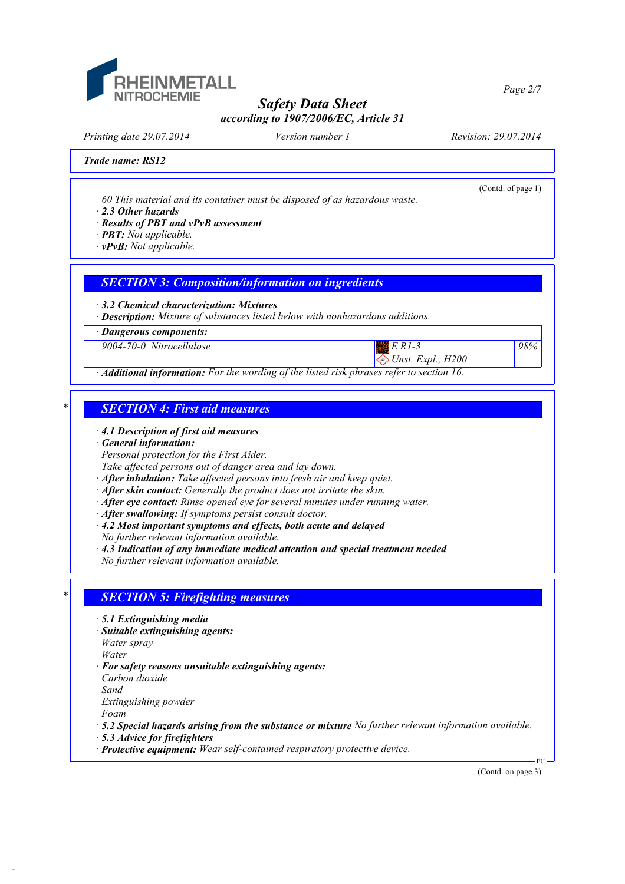

*Printing date 29.07.2014 Version number 1 Revision: 29.07.2014*

 *Unst. Expl., H200*

(Contd. of page 1)

*98%*

*Trade name: RS12*

*60 This material and its container must be disposed of as hazardous waste.*

*· 2.3 Other hazards*

*· Results of PBT and vPvB assessment*

*· PBT: Not applicable.*

*· vPvB: Not applicable.*

### *SECTION 3: Composition/information on ingredients*

*· 3.2 Chemical characterization: Mixtures*

*· Description: Mixture of substances listed below with nonhazardous additions.*

*· Dangerous components:*

*9004-70-0 Nitrocellulose E R1-3*

*· Additional information: For the wording of the listed risk phrases refer to section 16.*

### *\* SECTION 4: First aid measures*

*· 4.1 Description of first aid measures*

*· General information:*

*Personal protection for the First Aider.*

*Take affected persons out of danger area and lay down.*

- *· After inhalation: Take affected persons into fresh air and keep quiet.*
- *· After skin contact: Generally the product does not irritate the skin.*
- *· After eye contact: Rinse opened eye for several minutes under running water.*
- *· After swallowing: If symptoms persist consult doctor.*
- *· 4.2 Most important symptoms and effects, both acute and delayed*

*No further relevant information available.*

*· 4.3 Indication of any immediate medical attention and special treatment needed*

*No further relevant information available.*

#### *\* SECTION 5: Firefighting measures*

- *· 5.1 Extinguishing media*
- *· Suitable extinguishing agents:*

*Water spray*

- *Water*
- *· For safety reasons unsuitable extinguishing agents: Carbon dioxide*

*Sand*

*Extinguishing powder*

*Foam*

- *· 5.2 Special hazards arising from the substance or mixture No further relevant information available.*
- *· 5.3 Advice for firefighters*
- *· Protective equipment: Wear self-contained respiratory protective device.*

(Contd. on page 3)

EU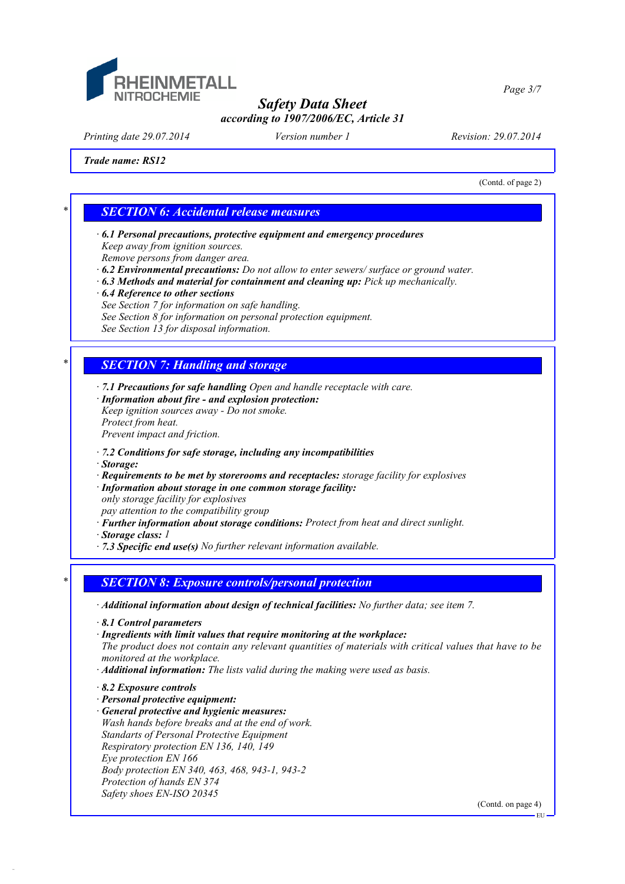

*Printing date 29.07.2014 Version number 1 Revision: 29.07.2014*

*Trade name: RS12*

(Contd. of page 2)

*Page 3/7*

### *\* SECTION 6: Accidental release measures*

- *· 6.1 Personal precautions, protective equipment and emergency procedures Keep away from ignition sources.*
- *Remove persons from danger area.*
- *· 6.2 Environmental precautions: Do not allow to enter sewers/ surface or ground water.*
- *· 6.3 Methods and material for containment and cleaning up: Pick up mechanically.*
- *· 6.4 Reference to other sections*
- *See Section 7 for information on safe handling.*
- *See Section 8 for information on personal protection equipment.*

*See Section 13 for disposal information.*

## *\* SECTION 7: Handling and storage*

- *· 7.1 Precautions for safe handling Open and handle receptacle with care.*
- *· Information about fire and explosion protection: Keep ignition sources away - Do not smoke. Protect from heat.*
- *Prevent impact and friction.*
- *· 7.2 Conditions for safe storage, including any incompatibilities*
- *· Storage:*
- *· Requirements to be met by storerooms and receptacles: storage facility for explosives*
- *· Information about storage in one common storage facility:*
- *only storage facility for explosives*
- *pay attention to the compatibility group*
- *· Further information about storage conditions: Protect from heat and direct sunlight.*
- *· Storage class: 1*
- *· 7.3 Specific end use(s) No further relevant information available.*

## *\* SECTION 8: Exposure controls/personal protection*

- *· Additional information about design of technical facilities: No further data; see item 7.*
- *· 8.1 Control parameters*
- *· Ingredients with limit values that require monitoring at the workplace:*
- *The product does not contain any relevant quantities of materials with critical values that have to be monitored at the workplace.*
- *· Additional information: The lists valid during the making were used as basis.*
- *· 8.2 Exposure controls*
- *· Personal protective equipment:*
- *· General protective and hygienic measures:*
- *Wash hands before breaks and at the end of work. Standarts of Personal Protective Equipment Respiratory protection EN 136, 140, 149 Eye protection EN 166 Body protection EN 340, 463, 468, 943-1, 943-2 Protection of hands EN 374 Safety shoes EN-ISO 20345*

(Contd. on page 4)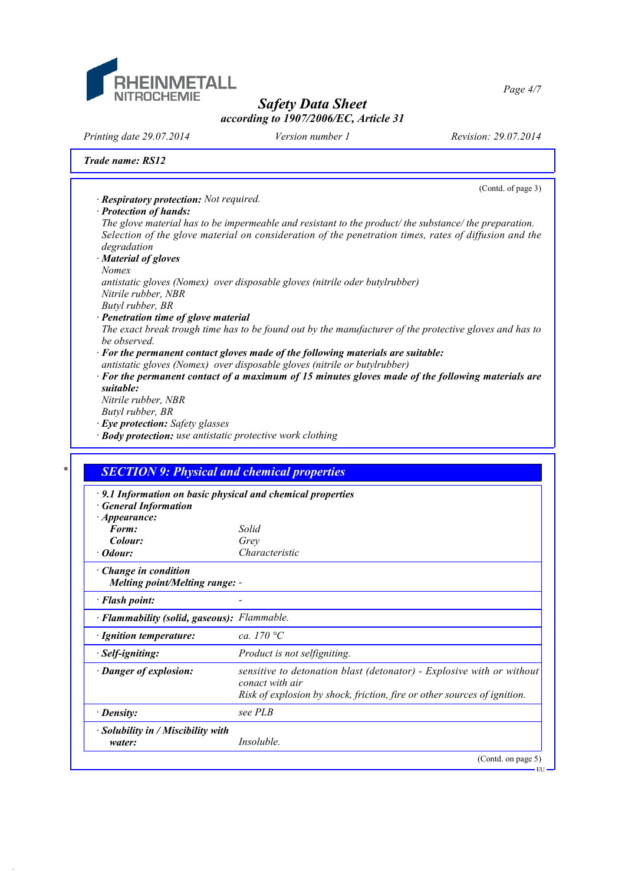

*Printing date 29.07.2014 Version number 1 Revision: 29.07.2014*

*Trade name: RS12*

## (Contd. of page 3) *· Respiratory protection: Not required. · Protection of hands: The glove material has to be impermeable and resistant to the product/ the substance/ the preparation. Selection of the glove material on consideration of the penetration times, rates of diffusion and the degradation · Material of gloves Nomex antistatic gloves (Nomex) over disposable gloves (nitrile oder butylrubber) Nitrile rubber, NBR Butyl rubber, BR · Penetration time of glove material The exact break trough time has to be found out by the manufacturer of the protective gloves and has to be observed. · For the permanent contact gloves made of the following materials are suitable: antistatic gloves (Nomex) over disposable gloves (nitrile or butylrubber) · For the permanent contact of a maximum of 15 minutes gloves made of the following materials are suitable: Nitrile rubber, NBR Butyl rubber, BR · Eye protection: Safety glasses · Body protection: use antistatic protective work clothing \* SECTION 9: Physical and chemical properties · 9.1 Information on basic physical and chemical properties · General Information · Appearance: Form: Solid*  $Color:$ *Odour: Characteristic · Change in condition Melting point/Melting range: - · Flash point: - · Flammability (solid, gaseous): Flammable. · Ignition temperature: ca. 170 °C · Self-igniting: Product is not selfigniting. · Danger of explosion: sensitive to detonation blast (detonator) - Explosive with or without conact with air Risk of explosion by shock, friction, fire or other sources of ignition. · Density: see PLB · Solubility in / Miscibility with water: Insoluble.* (Contd. on page 5) EU

*Page 4/7*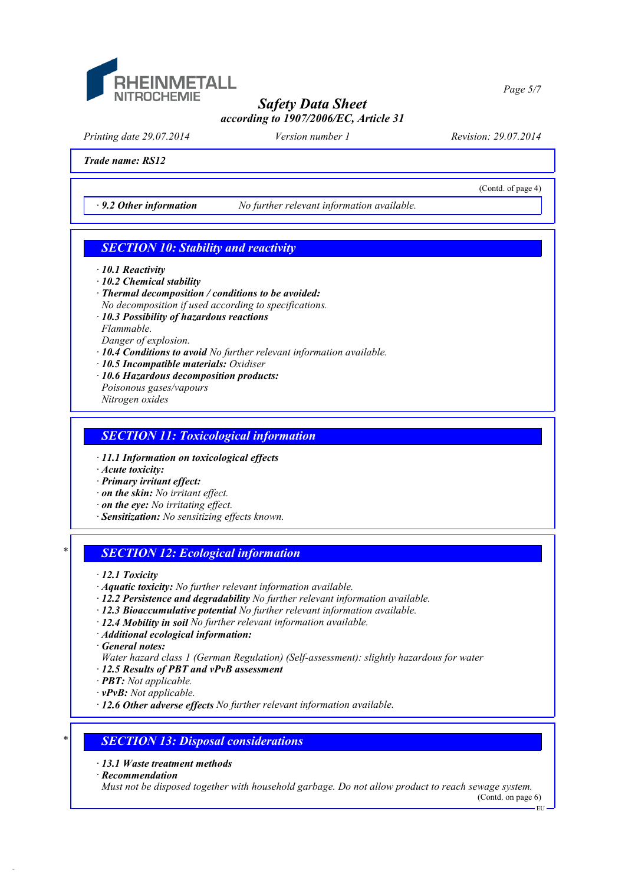

*Printing date 29.07.2014 Version number 1 Revision: 29.07.2014*

(Contd. of page 4)

*Trade name: RS12*

*· 9.2 Other information No further relevant information available.*

## *SECTION 10: Stability and reactivity*

- *· 10.1 Reactivity*
- *· 10.2 Chemical stability*
- *· Thermal decomposition / conditions to be avoided:*
- *No decomposition if used according to specifications.*
- *· 10.3 Possibility of hazardous reactions Flammable.*

*Danger of explosion.*

- *· 10.4 Conditions to avoid No further relevant information available.*
- *· 10.5 Incompatible materials: Oxidiser*
- *· 10.6 Hazardous decomposition products: Poisonous gases/vapours Nitrogen oxides*

#### *SECTION 11: Toxicological information*

- *· 11.1 Information on toxicological effects*
- *· Acute toxicity:*
- *· Primary irritant effect:*
- *· on the skin: No irritant effect.*
- *· on the eye: No irritating effect.*
- *· Sensitization: No sensitizing effects known.*

## *\* SECTION 12: Ecological information*

- *· 12.1 Toxicity*
- *· Aquatic toxicity: No further relevant information available.*
- *· 12.2 Persistence and degradability No further relevant information available.*
- *· 12.3 Bioaccumulative potential No further relevant information available.*
- *· 12.4 Mobility in soil No further relevant information available.*
- *· Additional ecological information:*

*· General notes:*

- *Water hazard class 1 (German Regulation) (Self-assessment): slightly hazardous for water*
- *· 12.5 Results of PBT and vPvB assessment*
- *· PBT: Not applicable.*
- *· vPvB: Not applicable.*
- *· 12.6 Other adverse effects No further relevant information available.*

## *\* SECTION 13: Disposal considerations*

*· 13.1 Waste treatment methods*

*· Recommendation*

*Must not be disposed together with household garbage. Do not allow product to reach sewage system.*

(Contd. on page 6)

*Page 5/7*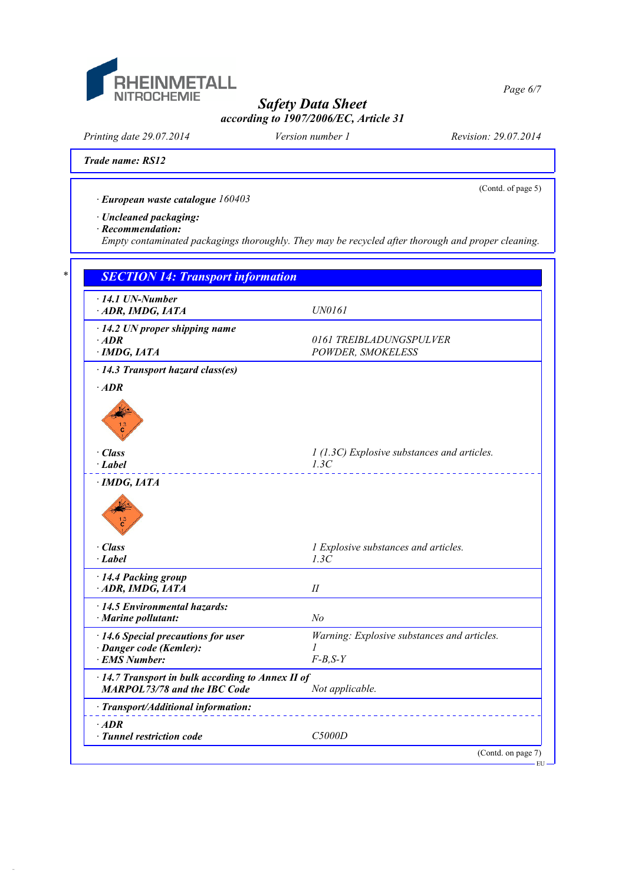

*Printing date 29.07.2014 Version number 1 Revision: 29.07.2014*

(Contd. of page 5)

*Page 6/7*

*Trade name: RS12*

*· European waste catalogue 160403*

*· Uncleaned packaging:*

*· Recommendation:*

*Empty contaminated packagings thoroughly. They may be recycled after thorough and proper cleaning.*

| $\cdot$ 14.1 UN-Number<br>ADR, IMDG, IATA                                                | <b>UN0161</b>                                            |
|------------------------------------------------------------------------------------------|----------------------------------------------------------|
| $\cdot$ 14.2 UN proper shipping name<br>$\cdot$ ADR<br>$\cdot$ IMDG, IATA                | 0161 TREIBLADUNGSPULVER<br>POWDER, SMOKELESS             |
| · 14.3 Transport hazard class(es)                                                        |                                                          |
| $\cdot$ ADR                                                                              |                                                          |
| · Class                                                                                  | 1 (1.3C) Explosive substances and articles.              |
| $\cdot$ Label                                                                            | 1.3C                                                     |
| · Class<br>$\cdot$ Label                                                                 | 1 Explosive substances and articles.<br>1.3C             |
| · 14.4 Packing group<br>ADR, IMDG, IATA                                                  | I                                                        |
| · 14.5 Environmental hazards:<br>· Marine pollutant:                                     | No                                                       |
| $\cdot$ 14.6 Special precautions for user<br>· Danger code (Kemler):<br>· EMS Number:    | Warning: Explosive substances and articles.<br>$F-B,S-Y$ |
| · 14.7 Transport in bulk according to Annex II of<br><b>MARPOL73/78 and the IBC Code</b> | Not applicable.                                          |
| · Transport/Additional information:                                                      |                                                          |
| $·$ <i>ADR</i>                                                                           | C5000D                                                   |